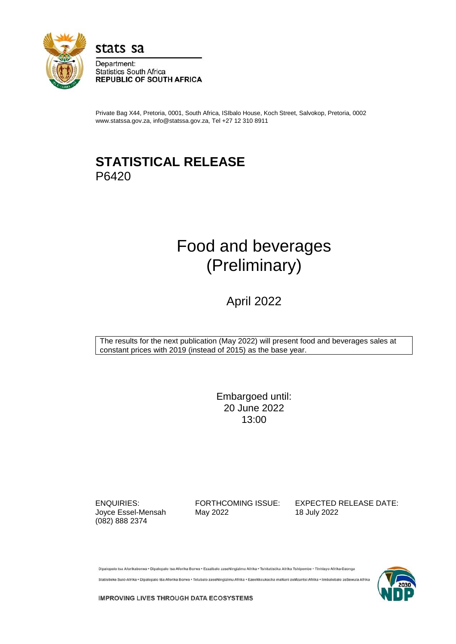

stats sa

Department: **Statistics South Africa REPUBLIC OF SOUTH AFRICA** 

Private Bag X44, Pretoria, 0001, South Africa, ISIbalo House, Koch Street, Salvokop, Pretoria, 0002 www.statssa.gov.za, info@statssa.gov.za, Tel +27 12 310 8911

# **STATISTICAL RELEASE** P6420

# Food and beverages (Preliminary)

# April 2022

The results for the next publication (May 2022) will present food and beverages sales at constant prices with 2019 (instead of 2015) as the base year.

> Embargoed until: 20 June 2022 13:00

(082) 888 2374

Joyce Essel-Mensah May 2022 18 July 2022

ENQUIRIES: FORTHCOMING ISSUE: EXPECTED RELEASE DATE:

Dipalopalo tsa Aforikaborwa - Dipalopalo tsa Aforika Borwa - Ezazibalo zaseNingizimu Afrika - Tshitatistika Afrika Tshipembe - Tinhlayo Afrika-Dzonga

Statistieke Suid-Afrika · Dipalopalo tša Aforika Borwa · Telubalo zaseNingizimu Afrika · EzeeNkcukacha maNani zoMzantsi Afrika · lir alobalo zeSewula Afrika



**IMPROVING LIVES THROUGH DATA ECOSYSTEMS**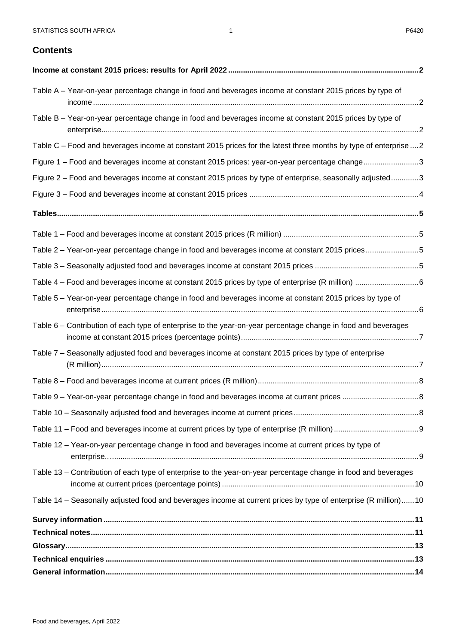# **Contents**

| Table A – Year-on-year percentage change in food and beverages income at constant 2015 prices by type of         |  |
|------------------------------------------------------------------------------------------------------------------|--|
| Table B - Year-on-year percentage change in food and beverages income at constant 2015 prices by type of         |  |
| Table C – Food and beverages income at constant 2015 prices for the latest three months by type of enterprise  2 |  |
| Figure 1 - Food and beverages income at constant 2015 prices: year-on-year percentage change3                    |  |
| Figure 2 – Food and beverages income at constant 2015 prices by type of enterprise, seasonally adjusted3         |  |
|                                                                                                                  |  |
|                                                                                                                  |  |
|                                                                                                                  |  |
| Table 2 - Year-on-year percentage change in food and beverages income at constant 2015 prices5                   |  |
|                                                                                                                  |  |
|                                                                                                                  |  |
| Table 5 - Year-on-year percentage change in food and beverages income at constant 2015 prices by type of         |  |
| Table 6 – Contribution of each type of enterprise to the year-on-year percentage change in food and beverages    |  |
| Table 7 - Seasonally adjusted food and beverages income at constant 2015 prices by type of enterprise            |  |
|                                                                                                                  |  |
|                                                                                                                  |  |
|                                                                                                                  |  |
|                                                                                                                  |  |
| Table 12 - Year-on-year percentage change in food and beverages income at current prices by type of              |  |
| Table 13 – Contribution of each type of enterprise to the year-on-year percentage change in food and beverages   |  |
| Table 14 - Seasonally adjusted food and beverages income at current prices by type of enterprise (R million)10   |  |
|                                                                                                                  |  |
|                                                                                                                  |  |
|                                                                                                                  |  |
|                                                                                                                  |  |
|                                                                                                                  |  |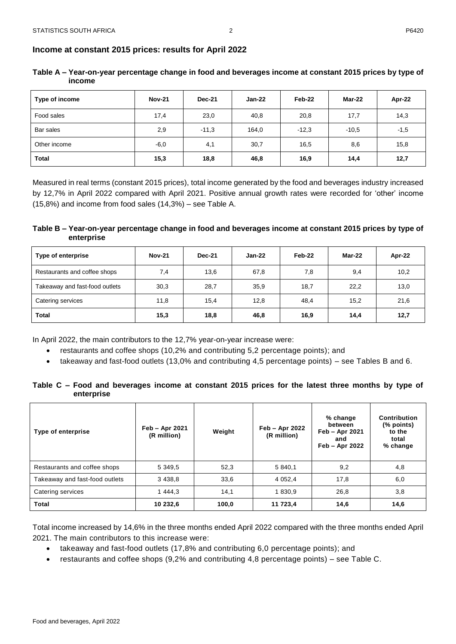| Type of income | <b>Nov-21</b> | <b>Dec-21</b> | Jan-22 | Feb-22  | Mar-22  | Apr-22 |
|----------------|---------------|---------------|--------|---------|---------|--------|
| Food sales     | 17,4          | 23,0          | 40,8   | 20,8    | 17,7    | 14,3   |
| Bar sales      | 2,9           | $-11,3$       | 164,0  | $-12.3$ | $-10.5$ | $-1,5$ |
| Other income   | $-6,0$        | 4,1           | 30,7   | 16,5    | 8,6     | 15,8   |
| <b>Total</b>   | 15,3          | 18,8          | 46,8   | 16,9    | 14,4    | 12,7   |

<span id="page-2-1"></span><span id="page-2-0"></span>**Table A – Year-on-year percentage change in food and beverages income at constant 2015 prices by type of income** 

Measured in real terms (constant 2015 prices), total income generated by the food and beverages industry increased by 12,7% in April 2022 compared with April 2021. Positive annual growth rates were recorded for 'other' income (15,8%) and income from food sales (14,3%) – see Table A.

# <span id="page-2-2"></span>**Table B – Year-on-year percentage change in food and beverages income at constant 2015 prices by type of enterprise**

| Type of enterprise             | <b>Nov-21</b> | <b>Dec-21</b> | $Jan-22$ | Feb-22 | Mar-22 | Apr-22 |
|--------------------------------|---------------|---------------|----------|--------|--------|--------|
| Restaurants and coffee shops   | 7,4           | 13,6          | 67,8     | 7,8    | 9,4    | 10,2   |
| Takeaway and fast-food outlets | 30,3          | 28,7          | 35,9     | 18,7   | 22,2   | 13,0   |
| Catering services              | 11,8          | 15,4          | 12,8     | 48,4   | 15,2   | 21,6   |
| <b>Total</b>                   | 15,3          | 18,8          | 46,8     | 16,9   | 14,4   | 12,7   |

In April 2022, the main contributors to the 12,7% year-on-year increase were:

- restaurants and coffee shops (10,2% and contributing 5,2 percentage points); and
- takeaway and fast-food outlets (13,0% and contributing 4,5 percentage points) see Tables B and 6.

<span id="page-2-3"></span>**Table C – Food and beverages income at constant 2015 prices for the latest three months by type of enterprise**

| Type of enterprise             | Feb - Apr 2021<br>(R million) | Weight | Feb - Apr 2022<br>(R million) | % change<br>between<br>Feb - Apr 2021<br>and<br>Feb - Apr 2022 | Contribution<br>(% points)<br>to the<br>total<br>% change |
|--------------------------------|-------------------------------|--------|-------------------------------|----------------------------------------------------------------|-----------------------------------------------------------|
| Restaurants and coffee shops   | 5 349.5                       | 52,3   | 5 840.1                       | 9,2                                                            | 4,8                                                       |
| Takeaway and fast-food outlets | 3 4 3 8 , 8                   | 33,6   | 4 0 5 2 , 4                   | 17,8                                                           | 6,0                                                       |
| Catering services              | 1 444,3                       | 14,1   | 1 830,9                       | 26,8                                                           | 3,8                                                       |
| <b>Total</b>                   | 10 232,6                      | 100,0  | 11 723,4                      | 14,6                                                           | 14,6                                                      |

Total income increased by 14,6% in the three months ended April 2022 compared with the three months ended April 2021. The main contributors to this increase were:

- takeaway and fast-food outlets (17,8% and contributing 6,0 percentage points); and
- restaurants and coffee shops (9,2% and contributing 4,8 percentage points) see Table C.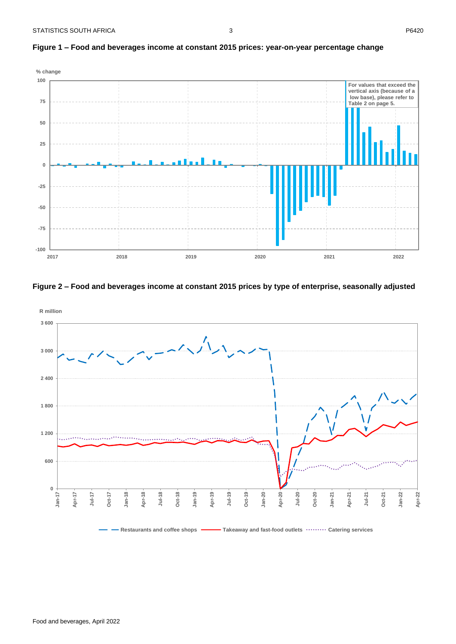<span id="page-3-1"></span>

#### <span id="page-3-0"></span>**Figure 1 – Food and beverages income at constant 2015 prices: year-on-year percentage change**





Restaurants and coffee shops **Takeaway and fast-food outlets**  $\cdots \cdots \cdots$  Catering services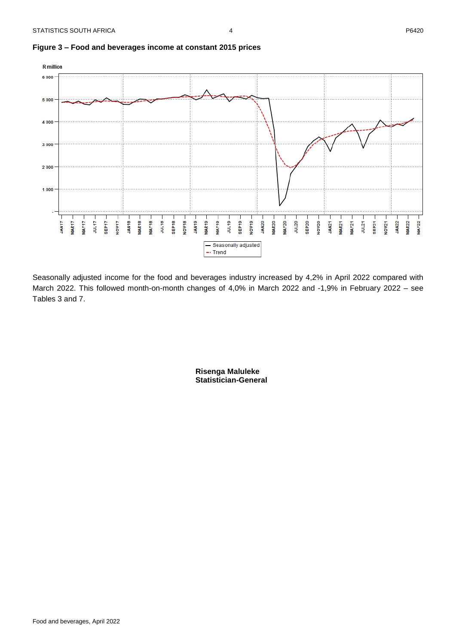<span id="page-4-0"></span>



Seasonally adjusted income for the food and beverages industry increased by 4,2% in April 2022 compared with March 2022. This followed month-on-month changes of 4,0% in March 2022 and -1,9% in February 2022 – see Tables 3 and 7.

> **Risenga Maluleke Statistician-General**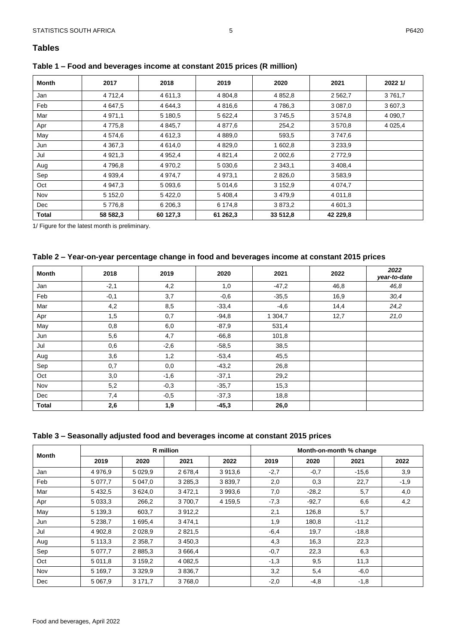# <span id="page-5-1"></span><span id="page-5-0"></span>**Table 1 – Food and beverages income at constant 2015 prices (R million)**

| Month        | 2017        | 2018        | 2019        | 2020        | 2021        | 2022 1/   |
|--------------|-------------|-------------|-------------|-------------|-------------|-----------|
| Jan          | 4 7 1 2 4   | 4 6 1 1 , 3 | 4 804,8     | 4 8 5 2 , 8 | 2 5 6 2, 7  | 3761,7    |
| Feb          | 4 647,5     | 4 644.3     | 4 816,6     | 4786,3      | 3 0 8 7 , 0 | 3 607,3   |
| Mar          | 4 9 7 1 , 1 | 5 180,5     | 5 622,4     | 3745,5      | 3 5 7 4 8   | 4 0 9 0.7 |
| Apr          | 4 775,8     | 4 8 4 5 , 7 | 4 877,6     | 254,2       | 3 570,8     | 4 0 25,4  |
| May          | 4 574,6     | 4 6 1 2 , 3 | 4 8 8 9 , 0 | 593,5       | 3747,6      |           |
| Jun          | 4 3 6 7 , 3 | 4 6 1 4 , 0 | 4 8 29,0    | 1 602,8     | 3 2 3 3 , 9 |           |
| Jul          | 4 9 21, 3   | 4 9 5 2, 4  | 4 8 21,4    | 2 0 0 2 .6  | 2 7 7 2 , 9 |           |
| Aug          | 4 796,8     | 4 9 7 0 , 2 | 5 0 30,6    | 2 3 4 3 , 1 | 3 4 0 8 , 4 |           |
| Sep          | 4 9 3 9 4   | 4 9 7 4 , 7 | 4 973,1     | 2 8 2 6 , 0 | 3 5 8 3 , 9 |           |
| Oct          | 4 947,3     | 5 0 9 3,6   | 5 0 1 4,6   | 3 1 5 2, 9  | 4 0 74,7    |           |
| Nov          | 5 152,0     | 5 4 2 2.0   | 5 408,4     | 3479,9      | 4 0 1 1 , 8 |           |
| Dec          | 5 7 7 6 8   | 6 206,3     | 6 174,8     | 3873,2      | 4 601,3     |           |
| <b>Total</b> | 58 582,3    | 60 127,3    | 61 262,3    | 33 512,8    | 42 229,8    |           |

1/ Figure for the latest month is preliminary.

# <span id="page-5-2"></span>**Table 2 – Year-on-year percentage change in food and beverages income at constant 2015 prices**

| <b>Month</b> | 2018   | 2019   | 2020    | 2021    | 2022 | 2022<br>year-to-date |
|--------------|--------|--------|---------|---------|------|----------------------|
| Jan          | $-2,1$ | 4,2    | 1,0     | $-47,2$ | 46,8 | 46,8                 |
| Feb          | $-0,1$ | 3,7    | $-0,6$  | $-35.5$ | 16,9 | 30,4                 |
| Mar          | 4,2    | 8,5    | $-33,4$ | $-4,6$  | 14,4 | 24,2                 |
| Apr          | 1,5    | 0,7    | $-94,8$ | 1 304,7 | 12,7 | 21,0                 |
| May          | 0,8    | 6,0    | $-87,9$ | 531,4   |      |                      |
| Jun          | 5,6    | 4,7    | $-66,8$ | 101,8   |      |                      |
| Jul          | 0,6    | $-2,6$ | $-58,5$ | 38,5    |      |                      |
| Aug          | 3,6    | 1,2    | $-53,4$ | 45,5    |      |                      |
| Sep          | 0,7    | 0,0    | $-43,2$ | 26,8    |      |                      |
| Oct          | 3,0    | $-1,6$ | $-37,1$ | 29,2    |      |                      |
| Nov          | 5,2    | $-0,3$ | $-35,7$ | 15,3    |      |                      |
| Dec          | 7,4    | $-0,5$ | $-37,3$ | 18,8    |      |                      |
| <b>Total</b> | 2,6    | 1,9    | $-45,3$ | 26,0    |      |                      |

## <span id="page-5-3"></span>**Table 3 – Seasonally adjusted food and beverages income at constant 2015 prices**

|       |             |             | R million   |         | Month-on-month % change |         |         |        |  |
|-------|-------------|-------------|-------------|---------|-------------------------|---------|---------|--------|--|
| Month | 2019        | 2020        | 2021        | 2022    | 2019                    | 2020    | 2021    | 2022   |  |
| Jan   | 4 9 7 6 , 9 | 5 0 29,9    | 2 678,4     | 3 913,6 | $-2,7$                  | $-0,7$  | $-15,6$ | 3,9    |  |
| Feb   | 5 0 7 7 .7  | 5 047,0     | 3 2 8 5 , 3 | 3839.7  | 2,0                     | 0,3     | 22,7    | $-1,9$ |  |
| Mar   | 5 4 3 2.5   | 3 6 24,0    | 3 4 7 2 , 1 | 3 993,6 | 7,0                     | $-28,2$ | 5,7     | 4,0    |  |
| Apr   | 5 0 3 3 , 3 | 266,2       | 3700,7      | 4 159,5 | $-7,3$                  | $-92.7$ | 6,6     | 4,2    |  |
| May   | 5 139,3     | 603,7       | 3 912,2     |         | 2,1                     | 126,8   | 5,7     |        |  |
| Jun   | 5 2 38,7    | 1 695,4     | 3 4 7 4 1   |         | 1,9                     | 180,8   | $-11,2$ |        |  |
| Jul   | 4 902,8     | 2 0 28,9    | 2 8 2 1 , 5 |         | $-6,4$                  | 19,7    | $-18.8$ |        |  |
| Aug   | 5 1 1 3 . 3 | 2 3 5 8 , 7 | 3 4 5 0 , 3 |         | 4,3                     | 16,3    | 22,3    |        |  |
| Sep   | 5 0 7 7 .7  | 2 8 8 5 , 3 | 3 666,4     |         | $-0,7$                  | 22,3    | 6,3     |        |  |
| Oct   | 5 0 1 1 , 8 | 3 159,2     | 4 082,5     |         | $-1,3$                  | 9,5     | 11,3    |        |  |
| Nov   | 5 1 69,7    | 3 3 2 9 . 9 | 3 8 3 6 , 7 |         | 3,2                     | 5,4     | $-6,0$  |        |  |
| Dec   | 5 0 6 7.9   | 3 171,7     | 3768,0      |         | $-2,0$                  | $-4,8$  | $-1,8$  |        |  |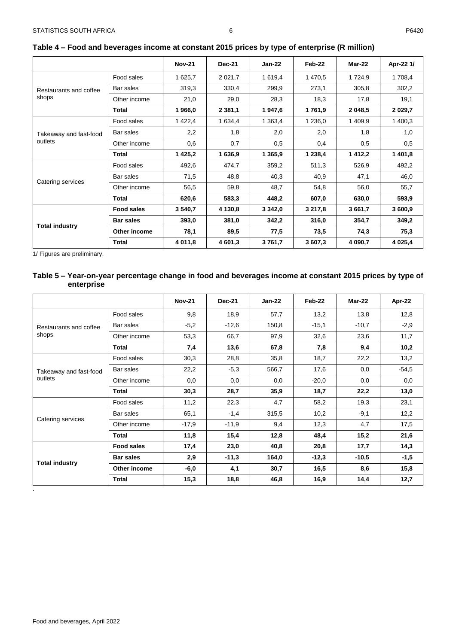|                        |                   | <b>Nov-21</b> | <b>Dec-21</b> | Jan-22      | Feb-22  | Mar-22      | Apr-22 1/   |
|------------------------|-------------------|---------------|---------------|-------------|---------|-------------|-------------|
|                        | Food sales        | 1 625,7       | 2 0 2 1 , 7   | 1 619,4     | 1 470,5 | 1 7 2 4 , 9 | 1 708,4     |
| Restaurants and coffee | Bar sales         | 319,3         | 330,4         | 299,9       | 273,1   | 305,8       | 302,2       |
| shops                  | Other income      | 21,0          | 29,0          | 28,3        | 18,3    | 17,8        | 19,1        |
|                        | Total             | 1966,0        | 2 3 8 1 , 1   | 1947,6      | 1761,9  | 2 048,5     | 2 0 2 9 , 7 |
|                        | Food sales        | 1 4 2 2 4     | 1 634,4       | 1 3 6 3 4   | 1 236,0 | 1 409,9     | 1 400,3     |
| Takeaway and fast-food | Bar sales         | 2,2           | 1,8           | 2,0         | 2,0     | 1,8         | 1,0         |
| outlets                | Other income      | 0,6           | 0,7           | 0.5         | 0,4     | 0.5         | 0.5         |
|                        | Total             | 1 4 2 5 , 2   | 1 636,9       | 1 3 6 5 , 9 | 1 238,4 | 1 4 1 2 , 2 | 1 401,8     |
|                        | Food sales        | 492,6         | 474,7         | 359,2       | 511,3   | 526,9       | 492,2       |
|                        | Bar sales         | 71,5          | 48,8          | 40,3        | 40,9    | 47,1        | 46,0        |
| Catering services      | Other income      | 56,5          | 59,8          | 48,7        | 54,8    | 56,0        | 55,7        |
|                        | Total             | 620,6         | 583,3         | 448,2       | 607,0   | 630,0       | 593.9       |
|                        | <b>Food sales</b> | 3 540,7       | 4 130,8       | 3 3 4 2 , 0 | 3 217,8 | 3 661,7     | 3 600,9     |
| <b>Total industry</b>  | <b>Bar sales</b>  | 393,0         | 381,0         | 342,2       | 316,0   | 354,7       | 349,2       |
|                        | Other income      | 78,1          | 89,5          | 77,5        | 73,5    | 74,3        | 75,3        |
|                        | Total             | 4 011,8       | 4 601,3       | 3761,7      | 3 607,3 | 4 090,7     | 4 0 25,4    |

# <span id="page-6-0"></span>**Table 4 – Food and beverages income at constant 2015 prices by type of enterprise (R million)**

<span id="page-6-1"></span>1/ Figures are preliminary.

# **Table 5 – Year-on-year percentage change in food and beverages income at constant 2015 prices by type of enterprise**

|                        |                   | <b>Nov-21</b> | <b>Dec-21</b> | $Jan-22$ | Feb-22  | Mar-22  | Apr-22  |
|------------------------|-------------------|---------------|---------------|----------|---------|---------|---------|
|                        | Food sales        | 9,8           | 18,9          | 57,7     | 13,2    | 13,8    | 12,8    |
| Restaurants and coffee | Bar sales         | $-5,2$        | $-12,6$       | 150,8    | $-15,1$ | $-10,7$ | $-2,9$  |
| shops                  | Other income      | 53,3          | 66,7          | 97,9     | 32,6    | 23,6    | 11,7    |
|                        | <b>Total</b>      | 7,4           | 13,6          | 67,8     | 7,8     | 9,4     | 10,2    |
|                        | Food sales        | 30,3          | 28,8          | 35,8     | 18,7    | 22,2    | 13,2    |
| Takeaway and fast-food | Bar sales         | 22,2          | $-5,3$        | 566,7    | 17,6    | 0,0     | $-54,5$ |
| outlets                | Other income      | 0,0           | 0,0           | 0,0      | $-20,0$ | 0,0     | 0,0     |
|                        | <b>Total</b>      | 30,3          | 28,7          | 35,9     | 18,7    | 22,2    | 13,0    |
|                        | Food sales        | 11,2          | 22,3          | 4,7      | 58,2    | 19,3    | 23,1    |
|                        | Bar sales         | 65,1          | $-1,4$        | 315,5    | 10,2    | $-9,1$  | 12,2    |
| Catering services      | Other income      | $-17,9$       | $-11,9$       | 9,4      | 12,3    | 4,7     | 17,5    |
|                        | <b>Total</b>      | 11,8          | 15,4          | 12,8     | 48,4    | 15,2    | 21,6    |
|                        | <b>Food sales</b> | 17,4          | 23,0          | 40,8     | 20,8    | 17,7    | 14,3    |
| <b>Total industry</b>  | <b>Bar sales</b>  | 2,9           | $-11,3$       | 164,0    | $-12,3$ | $-10,5$ | $-1,5$  |
|                        | Other income      | $-6,0$        | 4,1           | 30,7     | 16,5    | 8,6     | 15,8    |
|                        | <b>Total</b>      | 15,3          | 18,8          | 46,8     | 16,9    | 14,4    | 12,7    |

.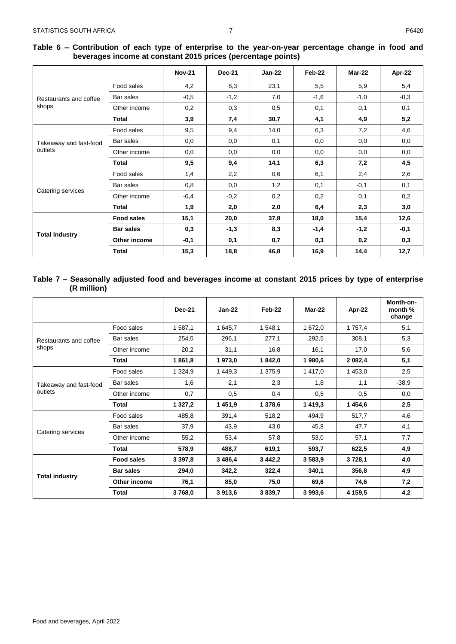# <span id="page-7-0"></span>**Table 6 – Contribution of each type of enterprise to the year-on-year percentage change in food and beverages income at constant 2015 prices (percentage points)**

|                        |                   | <b>Nov-21</b> | <b>Dec-21</b> | $Jan-22$ | Feb-22 | Mar-22 | Apr-22 |
|------------------------|-------------------|---------------|---------------|----------|--------|--------|--------|
|                        | Food sales        | 4,2           | 8,3           | 23,1     | 5,5    | 5,9    | 5,4    |
| Restaurants and coffee | Bar sales         | $-0,5$        | $-1,2$        | 7,0      | $-1,6$ | $-1,0$ | $-0,3$ |
| shops                  | Other income      | 0,2           | 0,3           | 0,5      | 0,1    | 0,1    | 0,1    |
|                        | Total             | 3,9           | 7,4           | 30,7     | 4,1    | 4,9    | 5,2    |
|                        | Food sales        | 9,5           | 9,4           | 14,0     | 6,3    | 7,2    | 4,6    |
| Takeaway and fast-food | Bar sales         | 0,0           | 0,0           | 0,1      | 0,0    | 0,0    | 0,0    |
| outlets                | Other income      | 0,0           | 0,0           | 0,0      | 0,0    | 0,0    | 0,0    |
|                        | Total             | 9,5           | 9,4           | 14,1     | 6,3    | 7,2    | 4,5    |
|                        | Food sales        | 1,4           | 2,2           | 0,6      | 6,1    | 2,4    | 2,6    |
|                        | Bar sales         | 0,8           | 0,0           | 1,2      | 0,1    | $-0,1$ | 0,1    |
| Catering services      | Other income      | $-0,4$        | $-0,2$        | 0,2      | 0,2    | 0,1    | 0,2    |
|                        | <b>Total</b>      | 1,9           | 2,0           | 2,0      | 6,4    | 2,3    | 3,0    |
|                        | <b>Food sales</b> | 15,1          | 20,0          | 37,8     | 18,0   | 15,4   | 12,6   |
| <b>Total industry</b>  | <b>Bar sales</b>  | 0,3           | $-1,3$        | 8,3      | $-1,4$ | $-1,2$ | $-0,1$ |
|                        | Other income      | $-0,1$        | 0,1           | 0,7      | 0,3    | 0,2    | 0,3    |
|                        | <b>Total</b>      | 15,3          | 18,8          | 46,8     | 16,9   | 14,4   | 12,7   |

#### <span id="page-7-1"></span>**Table 7 – Seasonally adjusted food and beverages income at constant 2015 prices by type of enterprise (R million)**

|                        |                   | <b>Dec-21</b> | $Jan-22$   | Feb-22      | Mar-22  | Apr-22  | Month-on-<br>month %<br>change |
|------------------------|-------------------|---------------|------------|-------------|---------|---------|--------------------------------|
|                        | Food sales        | 1587,1        | 1 645,7    | 1548,1      | 1 672,0 | 1 757,4 | 5,1                            |
| Restaurants and coffee | Bar sales         | 254,5         | 296,1      | 277,1       | 292,5   | 308,1   | 5,3                            |
| shops                  | Other income      | 20,2          | 31,1       | 16,8        | 16,1    | 17,0    | 5,6                            |
|                        | Total             | 1861,8        | 1973,0     | 1842,0      | 1980,6  | 2 082,4 | 5,1                            |
| Takeaway and fast-food | Food sales        | 1 3 2 4 , 9   | 1 449,3    | 1 375,9     | 1 417,0 | 1 453,0 | 2,5                            |
|                        | Bar sales         | 1,6           | 2,1        | 2,3         | 1,8     | 1,1     | $-38,9$                        |
| outlets                | Other income      | 0,7           | 0,5        | 0,4         | 0,5     | 0.5     | 0,0                            |
|                        | Total             | 1 3 2 7 , 2   | 1451,9     | 1 378,6     | 1 419,3 | 1 454,6 | 2,5                            |
|                        | Food sales        | 485,8         | 391,4      | 518,2       | 494,9   | 517,7   | 4,6                            |
|                        | Bar sales         | 37,9          | 43,9       | 43,0        | 45,8    | 47,7    | 4,1                            |
| Catering services      | Other income      | 55,2          | 53,4       | 57,8        | 53,0    | 57,1    | 7,7                            |
|                        | <b>Total</b>      | 578,9         | 488,7      | 619,1       | 593,7   | 622,5   | 4,9                            |
|                        | <b>Food sales</b> | 3 3 9 7 , 8   | 3 4 8 6, 4 | 3 4 4 2 , 2 | 3583,9  | 3728,1  | 4,0                            |
| <b>Total industry</b>  | <b>Bar sales</b>  | 294,0         | 342,2      | 322,4       | 340,1   | 356,8   | 4,9                            |
|                        | Other income      | 76,1          | 85,0       | 75,0        | 69,6    | 74,6    | 7,2                            |
|                        | Total             | 3768,0        | 3913,6     | 3 839,7     | 3 993,6 | 4 159,5 | 4,2                            |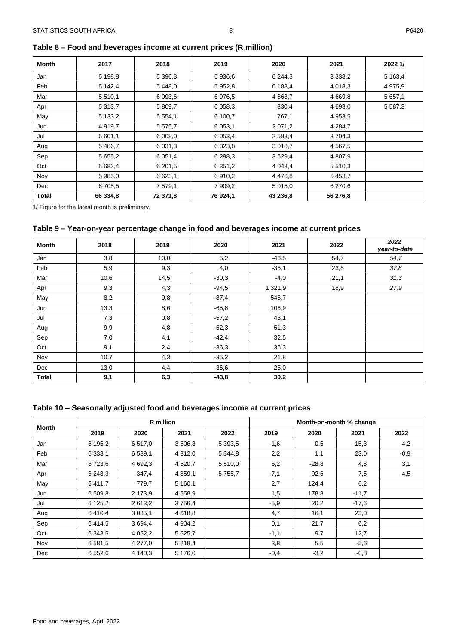<span id="page-8-0"></span>

| Table 8 - Food and beverages income at current prices (R million) |  |
|-------------------------------------------------------------------|--|
|-------------------------------------------------------------------|--|

| Month | 2017        | 2018        | 2019        | 2020        | 2021        | 2022 1/     |
|-------|-------------|-------------|-------------|-------------|-------------|-------------|
| Jan   | 5 198,8     | 5 396,3     | 5 936,6     | 6 244,3     | 3 3 3 8 , 2 | 5 1 6 3 , 4 |
| Feb   | 5 142,4     | 5 4 4 8 , 0 | 5 9 5 2 , 8 | 6 188,4     | 4 0 18,3    | 4 9 7 5 , 9 |
| Mar   | 5 5 1 0 , 1 | 6 0 9 3 . 6 | 6976.5      | 4 8 6 3 , 7 | 4 6 6 9 , 8 | 5 657,1     |
| Apr   | 5 3 1 3 , 7 | 5 809,7     | 6 0 58, 3   | 330,4       | 4 698,0     | 5 5 8 7 , 3 |
| May   | 5 133,2     | 5 5 5 4 1   | 6 100,7     | 767,1       | 4 9 5 3 , 5 |             |
| Jun   | 4 9 1 9 . 7 | 5 575,7     | 6 0 5 3 , 1 | 2 0 7 1 , 2 | 4 2 8 4 7   |             |
| Jul   | 5 601,1     | 6 008,0     | 6 0 5 3 , 4 | 2 5 8 8 , 4 | 3 704,3     |             |
| Aug   | 5 486,7     | 6 0 31, 3   | 6 3 2 3 , 8 | 3 0 18,7    | 4 5 6 7 .5  |             |
| Sep   | 5 6 5 5 , 2 | 6 0 5 1 , 4 | 6 298,3     | 3 6 29,4    | 4 807,9     |             |
| Oct   | 5 683,4     | 6 201,5     | 6 3 5 1 , 2 | 4 0 4 3 , 4 | 5 5 1 0 , 3 |             |
| Nov   | 5 985,0     | 6 623,1     | 6910,2      | 4 4 7 6 8   | 5 4 5 3 , 7 |             |
| Dec   | 6 705.5     | 7 579,1     | 7 909,2     | 5 0 1 5 , 0 | 6 270,6     |             |
| Total | 66 334,8    | 72 371,8    | 76 924,1    | 43 236,8    | 56 276,8    |             |

<span id="page-8-1"></span>1/ Figure for the latest month is preliminary.

# **Table 9 – Year-on-year percentage change in food and beverages income at current prices**

| <b>Month</b> | 2018 | 2019 | 2020    | 2021        | 2022 | 2022<br>year-to-date |
|--------------|------|------|---------|-------------|------|----------------------|
| Jan          | 3,8  | 10,0 | 5,2     | $-46,5$     | 54,7 | 54,7                 |
| Feb          | 5,9  | 9,3  | 4,0     | $-35,1$     | 23,8 | 37,8                 |
| Mar          | 10,6 | 14,5 | $-30,3$ | $-4,0$      | 21,1 | 31,3                 |
| Apr          | 9,3  | 4,3  | $-94,5$ | 1 3 2 1 , 9 | 18,9 | 27,9                 |
| May          | 8,2  | 9,8  | $-87,4$ | 545,7       |      |                      |
| Jun          | 13,3 | 8,6  | $-65,8$ | 106,9       |      |                      |
| Jul          | 7,3  | 0,8  | $-57,2$ | 43,1        |      |                      |
| Aug          | 9,9  | 4,8  | $-52,3$ | 51,3        |      |                      |
| Sep          | 7,0  | 4,1  | $-42,4$ | 32,5        |      |                      |
| Oct          | 9,1  | 2,4  | $-36,3$ | 36,3        |      |                      |
| Nov          | 10,7 | 4,3  | $-35,2$ | 21,8        |      |                      |
| Dec          | 13,0 | 4,4  | $-36,6$ | 25,0        |      |                      |
| <b>Total</b> | 9,1  | 6,3  | $-43,8$ | 30,2        |      |                      |

<span id="page-8-2"></span>

|  |  | Table 10 - Seasonally adjusted food and beverages income at current prices |  |
|--|--|----------------------------------------------------------------------------|--|
|--|--|----------------------------------------------------------------------------|--|

| Month | <b>R</b> million |             |             |             | Month-on-month % change |         |         |        |  |
|-------|------------------|-------------|-------------|-------------|-------------------------|---------|---------|--------|--|
|       | 2019             | 2020        | 2021        | 2022        | 2019                    | 2020    | 2021    | 2022   |  |
| Jan   | 6 195,2          | 6 517,0     | 3 506,3     | 5 3 9 3 , 5 | $-1,6$                  | $-0,5$  | $-15.3$ | 4,2    |  |
| Feb   | 6 3 3 3 , 1      | 6 589,1     | 4 3 1 2 , 0 | 5 3 4 4.8   | 2,2                     | 1,1     | 23,0    | $-0,9$ |  |
| Mar   | 6723,6           | 4 692,3     | 4 5 20, 7   | 5 5 1 0 , 0 | 6,2                     | $-28.8$ | 4,8     | 3,1    |  |
| Apr   | 6 243,3          | 347,4       | 4 8 5 9 1   | 5 7 5 5 , 7 | $-7,1$                  | $-92,6$ | 7,5     | 4,5    |  |
| May   | 6411,7           | 779,7       | 5 160,1     |             | 2,7                     | 124,4   | 6,2     |        |  |
| Jun   | 6 509,8          | 2 173,9     | 4 5 5 8 , 9 |             | 1,5                     | 178,8   | $-11,7$ |        |  |
| Jul   | 6 1 2 5 , 2      | 2 613.2     | 3756,4      |             | $-5.9$                  | 20,2    | $-17,6$ |        |  |
| Aug   | 6410,4           | 3 0 3 5 , 1 | 4 618,8     |             | 4,7                     | 16,1    | 23,0    |        |  |
| Sep   | 6414,5           | 3 694,4     | 4 904,2     |             | 0,1                     | 21,7    | 6,2     |        |  |
| Oct   | 6 3 4 3 .5       | 4 0 5 2, 2  | 5 5 2 5 , 7 |             | $-1,1$                  | 9,7     | 12,7    |        |  |
| Nov   | 6 5 8 1 , 5      | 4 277,0     | 5 2 1 8 , 4 |             | 3,8                     | 5,5     | $-5,6$  |        |  |
| Dec   | 6 5 5 2 . 6      | 4 140.3     | 5 176,0     |             | $-0,4$                  | $-3,2$  | $-0.8$  |        |  |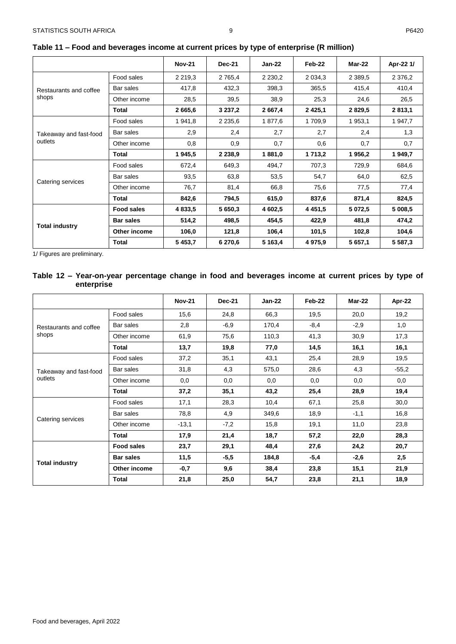|                                   |                   | <b>Nov-21</b> | <b>Dec-21</b> | $Jan-22$    | Feb-22      | Mar-22      | Apr-22 1/  |
|-----------------------------------|-------------------|---------------|---------------|-------------|-------------|-------------|------------|
|                                   | Food sales        | 2 2 1 9 . 3   | 2 7 6 5 4     | 2 2 3 0 , 2 | 2 0 34, 3   | 2 3 8 9 .5  | 2 3 7 6, 2 |
| Restaurants and coffee            | Bar sales         | 417,8         | 432,3         | 398,3       | 365,5       | 415,4       | 410,4      |
| shops                             | Other income      | 28,5          | 39,5          | 38,9        | 25,3        | 24,6        | 26,5       |
|                                   | Total             | 2 665,6       | 3 237,2       | 2 667,4     | 2 4 2 5 , 1 | 2 8 2 9 . 5 | 2 813,1    |
|                                   | Food sales        | 1 941,8       | 2 2 3 5 , 6   | 1877,6      | 1 709,9     | 1 953,1     | 1 947,7    |
| Takeaway and fast-food<br>outlets | Bar sales         | 2,9           | 2,4           | 2,7         | 2,7         | 2,4         | 1,3        |
|                                   | Other income      | 0,8           | 0,9           | 0,7         | 0,6         | 0,7         | 0,7        |
|                                   | Total             | 1945,5        | 2 2 3 8 , 9   | 1881,0      | 1 713,2     | 1956,2      | 1 949,7    |
|                                   | Food sales        | 672,4         | 649,3         | 494,7       | 707,3       | 729,9       | 684,6      |
|                                   | Bar sales         | 93,5          | 63,8          | 53,5        | 54,7        | 64,0        | 62,5       |
| Catering services                 | Other income      | 76,7          | 81,4          | 66,8        | 75,6        | 77,5        | 77,4       |
|                                   | Total             | 842,6         | 794,5         | 615,0       | 837,6       | 871,4       | 824,5      |
|                                   | <b>Food sales</b> | 4 833,5       | 5 650,3       | 4 602,5     | 4 4 5 1 , 5 | 5 072,5     | 5 008,5    |
|                                   | <b>Bar sales</b>  | 514,2         | 498,5         | 454,5       | 422,9       | 481,8       | 474,2      |
| <b>Total industry</b>             | Other income      | 106,0         | 121,8         | 106,4       | 101,5       | 102,8       | 104,6      |
|                                   | Total             | 5 453,7       | 6 270,6       | 5 163,4     | 4 975,9     | 5 657,1     | 5 587,3    |

# <span id="page-9-0"></span>**Table 11 – Food and beverages income at current prices by type of enterprise (R million)**

<span id="page-9-1"></span>1/ Figures are preliminary.

# **Table 12 – Year-on-year percentage change in food and beverages income at current prices by type of enterprise**

|                        |                   | <b>Nov-21</b> | <b>Dec-21</b> | $Jan-22$ | Feb-22 | $Mar-22$ | Apr-22  |
|------------------------|-------------------|---------------|---------------|----------|--------|----------|---------|
|                        | Food sales        | 15,6          | 24,8          | 66,3     | 19,5   | 20,0     | 19,2    |
| Restaurants and coffee | Bar sales         | 2,8           | $-6,9$        | 170,4    | $-8,4$ | $-2,9$   | 1,0     |
| shops                  | Other income      | 61,9          | 75,6          | 110,3    | 41,3   | 30,9     | 17,3    |
|                        | Total             | 13,7          | 19,8          | 77,0     | 14,5   | 16,1     | 16,1    |
|                        | Food sales        | 37,2          | 35,1          | 43,1     | 25,4   | 28,9     | 19,5    |
| Takeaway and fast-food | Bar sales         | 31,8          | 4,3           | 575,0    | 28,6   | 4,3      | $-55,2$ |
| outlets                | Other income      | 0,0           | 0,0           | 0,0      | 0,0    | 0,0      | 0,0     |
|                        | Total             | 37,2          | 35,1          | 43,2     | 25,4   | 28,9     | 19,4    |
|                        | Food sales        | 17,1          | 28,3          | 10,4     | 67,1   | 25,8     | 30,0    |
|                        | Bar sales         | 78,8          | 4,9           | 349,6    | 18,9   | $-1,1$   | 16,8    |
| Catering services      | Other income      | $-13,1$       | $-7,2$        | 15,8     | 19,1   | 11,0     | 23,8    |
|                        | Total             | 17,9          | 21,4          | 18,7     | 57,2   | 22,0     | 28,3    |
|                        | <b>Food sales</b> | 23,7          | 29,1          | 48,4     | 27,6   | 24,2     | 20,7    |
|                        | <b>Bar sales</b>  | 11,5          | $-5,5$        | 184,8    | $-5,4$ | $-2,6$   | 2,5     |
| <b>Total industry</b>  | Other income      | $-0,7$        | 9,6           | 38,4     | 23,8   | 15,1     | 21,9    |
|                        | <b>Total</b>      | 21,8          | 25,0          | 54,7     | 23,8   | 21,1     | 18,9    |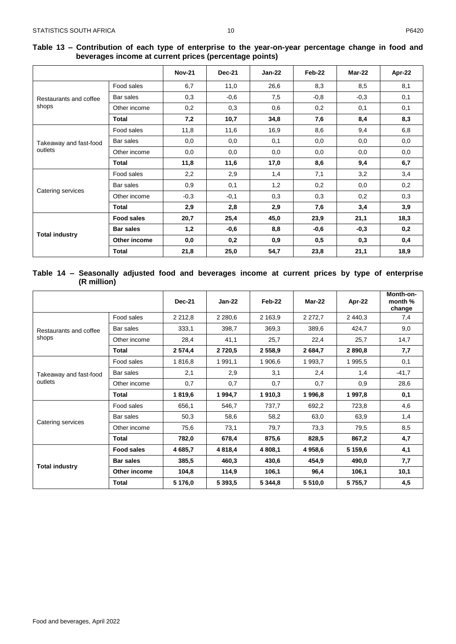|                                   |                   | <b>Nov-21</b> | <b>Dec-21</b> | <b>Jan-22</b> | Feb-22 | Mar-22 | Apr-22 |
|-----------------------------------|-------------------|---------------|---------------|---------------|--------|--------|--------|
|                                   | Food sales        | 6,7           | 11,0          | 26,6          | 8,3    | 8,5    | 8,1    |
| Restaurants and coffee            | Bar sales         | 0,3           | $-0,6$        | 7,5           | $-0,8$ | $-0,3$ | 0,1    |
| shops                             | Other income      | 0,2           | 0,3           | 0,6           | 0,2    | 0,1    | 0,1    |
|                                   | Total             | 7,2           | 10,7          | 34,8          | 7,6    | 8,4    | 8,3    |
|                                   | Food sales        | 11,8          | 11,6          | 16,9          | 8,6    | 9,4    | 6,8    |
| Takeaway and fast-food<br>outlets | Bar sales         | 0,0           | 0,0           | 0,1           | 0,0    | 0,0    | 0,0    |
|                                   | Other income      | 0,0           | 0,0           | 0,0           | 0,0    | 0,0    | 0,0    |
|                                   | Total             | 11,8          | 11,6          | 17,0          | 8,6    | 9,4    | 6,7    |
|                                   | Food sales        | 2,2           | 2,9           | 1,4           | 7,1    | 3,2    | 3,4    |
|                                   | Bar sales         | 0,9           | 0,1           | 1,2           | 0,2    | 0,0    | 0,2    |
| Catering services                 | Other income      | $-0,3$        | $-0,1$        | 0,3           | 0,3    | 0,2    | 0,3    |
|                                   | <b>Total</b>      | 2,9           | 2,8           | 2,9           | 7,6    | 3,4    | 3,9    |
|                                   | <b>Food sales</b> | 20,7          | 25,4          | 45,0          | 23,9   | 21,1   | 18,3   |
|                                   | <b>Bar sales</b>  | 1,2           | $-0,6$        | 8,8           | $-0,6$ | $-0,3$ | 0,2    |
| <b>Total industry</b>             | Other income      | 0,0           | 0,2           | 0,9           | 0,5    | 0,3    | 0,4    |
|                                   | <b>Total</b>      | 21,8          | 25,0          | 54,7          | 23,8   | 21,1   | 18,9   |

<span id="page-10-0"></span>**Table 13 – Contribution of each type of enterprise to the year-on-year percentage change in food and beverages income at current prices (percentage points)**

#### <span id="page-10-1"></span>**Table 14 – Seasonally adjusted food and beverages income at current prices by type of enterprise (R million)**

|                                   |                   | <b>Dec-21</b> | $Jan-22$    | Feb-22      | Mar-22      | Apr-22  | Month-on-<br>month %<br>change |
|-----------------------------------|-------------------|---------------|-------------|-------------|-------------|---------|--------------------------------|
|                                   | Food sales        | 2 2 1 2 , 8   | 2 2 8 0.6   | 2 163,9     | 2 2 7 2 , 7 | 2 440,3 | 7,4                            |
| Restaurants and coffee            | Bar sales         | 333.1         | 398,7       | 369,3       | 389,6       | 424,7   | 9,0                            |
| shops                             | Other income      | 28,4          | 41,1        | 25,7        | 22,4        | 25,7    | 14,7                           |
|                                   | Total             | 2 574,4       | 2 7 2 0.5   | 2 558,9     | 2 684,7     | 2 890,8 | 7,7                            |
|                                   | Food sales        | 1816,8        | 1 991,1     | 1 906,6     | 1 993,7     | 1 995,5 | 0,1                            |
| Takeaway and fast-food<br>outlets | Bar sales         | 2,1           | 2,9         | 3,1         | 2,4         | 1,4     | $-41,7$                        |
|                                   | Other income      | 0,7           | 0,7         | 0,7         | 0,7         | 0,9     | 28,6                           |
|                                   | Total             | 1819,6        | 1 994,7     | 1910,3      | 1996,8      | 1 997,8 | 0,1                            |
|                                   | Food sales        | 656,1         | 546,7       | 737,7       | 692,2       | 723,8   | 4,6                            |
|                                   | Bar sales         | 50,3          | 58,6        | 58,2        | 63,0        | 63,9    | 1,4                            |
| Catering services                 | Other income      | 75,6          | 73,1        | 79,7        | 73,3        | 79,5    | 8,5                            |
|                                   | <b>Total</b>      | 782,0         | 678,4       | 875,6       | 828,5       | 867,2   | 4,7                            |
|                                   | <b>Food sales</b> | 4 685,7       | 4 8 1 8 , 4 | 4 808,1     | 4 958,6     | 5 159.6 | 4,1                            |
|                                   | <b>Bar sales</b>  | 385,5         | 460,3       | 430,6       | 454,9       | 490,0   | 7,7                            |
| <b>Total industry</b>             | Other income      | 104,8         | 114,9       | 106,1       | 96,4        | 106,1   | 10,1                           |
|                                   | <b>Total</b>      | 5 176,0       | 5 393,5     | 5 3 4 4 , 8 | 5 5 1 0,0   | 5755,7  | 4,5                            |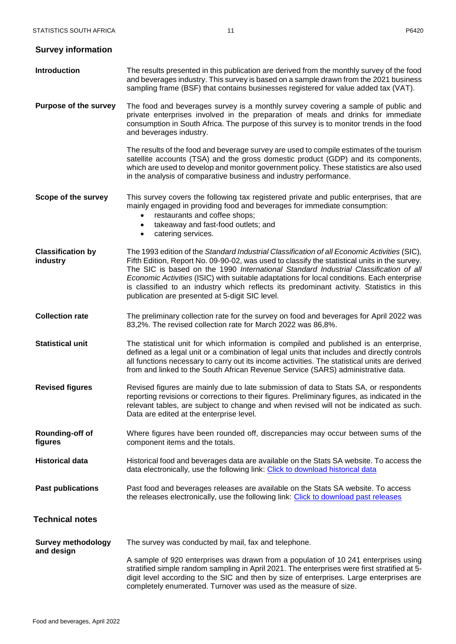<span id="page-11-1"></span><span id="page-11-0"></span>

| <b>Survey information</b>               |                                                                                                                                                                                                                                                                                                                                                                                                                                                                                                                                    |
|-----------------------------------------|------------------------------------------------------------------------------------------------------------------------------------------------------------------------------------------------------------------------------------------------------------------------------------------------------------------------------------------------------------------------------------------------------------------------------------------------------------------------------------------------------------------------------------|
| <b>Introduction</b>                     | The results presented in this publication are derived from the monthly survey of the food<br>and beverages industry. This survey is based on a sample drawn from the 2021 business<br>sampling frame (BSF) that contains businesses registered for value added tax (VAT).                                                                                                                                                                                                                                                          |
| <b>Purpose of the survey</b>            | The food and beverages survey is a monthly survey covering a sample of public and<br>private enterprises involved in the preparation of meals and drinks for immediate<br>consumption in South Africa. The purpose of this survey is to monitor trends in the food<br>and beverages industry.                                                                                                                                                                                                                                      |
|                                         | The results of the food and beverage survey are used to compile estimates of the tourism<br>satellite accounts (TSA) and the gross domestic product (GDP) and its components,<br>which are used to develop and monitor government policy. These statistics are also used<br>in the analysis of comparative business and industry performance.                                                                                                                                                                                      |
| Scope of the survey                     | This survey covers the following tax registered private and public enterprises, that are<br>mainly engaged in providing food and beverages for immediate consumption:<br>restaurants and coffee shops;<br>$\bullet$<br>takeaway and fast-food outlets; and<br>$\bullet$<br>catering services.<br>$\bullet$                                                                                                                                                                                                                         |
| <b>Classification by</b><br>industry    | The 1993 edition of the Standard Industrial Classification of all Economic Activities (SIC),<br>Fifth Edition, Report No. 09-90-02, was used to classify the statistical units in the survey.<br>The SIC is based on the 1990 International Standard Industrial Classification of all<br>Economic Activities (ISIC) with suitable adaptations for local conditions. Each enterprise<br>is classified to an industry which reflects its predominant activity. Statistics in this<br>publication are presented at 5-digit SIC level. |
| <b>Collection rate</b>                  | The preliminary collection rate for the survey on food and beverages for April 2022 was<br>83,2%. The revised collection rate for March 2022 was 86,8%.                                                                                                                                                                                                                                                                                                                                                                            |
| <b>Statistical unit</b>                 | The statistical unit for which information is compiled and published is an enterprise,<br>defined as a legal unit or a combination of legal units that includes and directly controls<br>all functions necessary to carry out its income activities. The statistical units are derived<br>from and linked to the South African Revenue Service (SARS) administrative data.                                                                                                                                                         |
| <b>Revised figures</b>                  | Revised figures are mainly due to late submission of data to Stats SA, or respondents<br>reporting revisions or corrections to their figures. Preliminary figures, as indicated in the<br>relevant tables, are subject to change and when revised will not be indicated as such.<br>Data are edited at the enterprise level.                                                                                                                                                                                                       |
| Rounding-off of<br>figures              | Where figures have been rounded off, discrepancies may occur between sums of the<br>component items and the totals.                                                                                                                                                                                                                                                                                                                                                                                                                |
| <b>Historical data</b>                  | Historical food and beverages data are available on the Stats SA website. To access the<br>data electronically, use the following link: Click to download historical data                                                                                                                                                                                                                                                                                                                                                          |
| <b>Past publications</b>                | Past food and beverages releases are available on the Stats SA website. To access<br>the releases electronically, use the following link: Click to download past releases                                                                                                                                                                                                                                                                                                                                                          |
| <b>Technical notes</b>                  |                                                                                                                                                                                                                                                                                                                                                                                                                                                                                                                                    |
| <b>Survey methodology</b><br>and design | The survey was conducted by mail, fax and telephone.<br>A sample of 920 enterprises was drawn from a population of 10 241 enterprises using<br>stratified simple random sampling in April 2021. The enterprises were first stratified at 5-<br>digit level according to the SIC and then by size of enterprises. Large enterprises are<br>completely enumerated. Turnover was used as the measure of size.                                                                                                                         |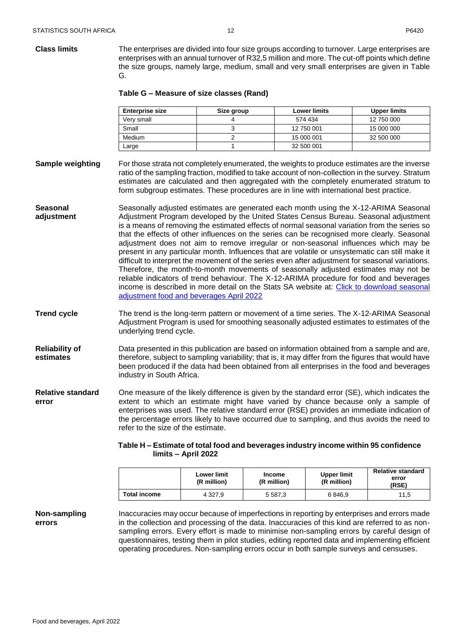| <b>Enterprise size</b> | Size group | <b>Lower limits</b> | Upper limits |
|------------------------|------------|---------------------|--------------|
| Verv small             |            | 574 434             | 12 750 000   |
| Small                  |            | 12 750 001          | 15 000 000   |
| Medium                 |            | 15 000 001          | 32 500 000   |
| Large                  |            | 32 500 001          |              |

- **Sample weighting** For those strata not completely enumerated, the weights to produce estimates are the inverse ratio of the sampling fraction, modified to take account of non-collection in the survey. Stratum estimates are calculated and then aggregated with the completely enumerated stratum to form subgroup estimates. These procedures are in line with international best practice.
- **Seasonal adjustment** Seasonally adjusted estimates are generated each month using the X-12-ARIMA Seasonal Adjustment Program developed by the United States Census Bureau. Seasonal adjustment is a means of removing the estimated effects of normal seasonal variation from the series so that the effects of other influences on the series can be recognised more clearly. Seasonal adjustment does not aim to remove irregular or non-seasonal influences which may be present in any particular month. Influences that are volatile or unsystematic can still make it difficult to interpret the movement of the series even after adjustment for seasonal variations. Therefore, the month-to-month movements of seasonally adjusted estimates may not be reliable indicators of trend behaviour. The X-12-ARIMA procedure for food and beverages income is described in more detail on the Stats SA website at: [Click to download seasonal](http://www.statssa.gov.za/publications/P6420/Seasonal_adjustment_Food_and_beverages_April_2022.pdf)  [adjustment food and beverages April 2022](http://www.statssa.gov.za/publications/P6420/Seasonal_adjustment_Food_and_beverages_April_2022.pdf)
- **Trend cycle** The trend is the long-term pattern or movement of a time series. The X-12-ARIMA Seasonal Adjustment Program is used for smoothing seasonally adjusted estimates to estimates of the underlying trend cycle.
- **Reliability of estimates** Data presented in this publication are based on information obtained from a sample and are, therefore, subject to sampling variability; that is, it may differ from the figures that would have been produced if the data had been obtained from all enterprises in the food and beverages industry in South Africa.
- **Relative standard error** One measure of the likely difference is given by the standard error (SE), which indicates the extent to which an estimate might have varied by chance because only a sample of enterprises was used. The relative standard error (RSE) provides an immediate indication of the percentage errors likely to have occurred due to sampling, and thus avoids the need to refer to the size of the estimate.

# **Table H – Estimate of total food and beverages industry income within 95 confidence limits – April 2022**

|                     | <b>Lower limit</b><br>(R million) | <b>Income</b><br>(R million) | <b>Upper limit</b><br>(R million) | <b>Relative standard</b><br>error<br>(RSE) |
|---------------------|-----------------------------------|------------------------------|-----------------------------------|--------------------------------------------|
| <b>Total income</b> | 4 3 2 7 . 9                       | 5 5 8 7 . 3                  | 6846.9                            | 11.5                                       |

**Non-sampling errors** Inaccuracies may occur because of imperfections in reporting by enterprises and errors made in the collection and processing of the data. Inaccuracies of this kind are referred to as nonsampling errors. Every effort is made to minimise non-sampling errors by careful design of questionnaires, testing them in pilot studies, editing reported data and implementing efficient operating procedures. Non-sampling errors occur in both sample surveys and censuses.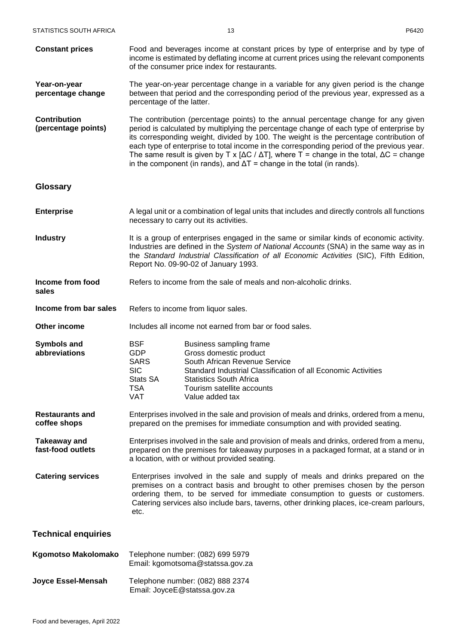<span id="page-13-0"></span>**Constant prices Year-on-year percentage change** Food and beverages income at constant prices by type of enterprise and by type of income is estimated by deflating income at current prices using the relevant components of the consumer price index for restaurants. The year-on-year percentage change in a variable for any given period is the change between that period and the corresponding period of the previous year, expressed as a percentage of the latter. **Contribution (percentage points)** The contribution (percentage points) to the annual percentage change for any given period is calculated by multiplying the percentage change of each type of enterprise by its corresponding weight, divided by 100. The weight is the percentage contribution of each type of enterprise to total income in the corresponding period of the previous year. The same result is given by T x  $[AC / AT]$ , where T = change in the total,  $\Delta C$  = change in the component (in rands), and  $\Delta T$  = change in the total (in rands). **Glossary Enterprise** A legal unit or a combination of legal units that includes and directly controls all functions necessary to carry out its activities. **Industry** It is a group of enterprises engaged in the same or similar kinds of economic activity. Industries are defined in the *System of National Accounts* (SNA) in the same way as in the *Standard Industrial Classification of all Economic Activities* (SIC), Fifth Edition, Report No. 09-90-02 of January 1993. **Income from food sales** Refers to income from the sale of meals and non-alcoholic drinks. **Income from bar sales** Refers to income from liquor sales. **Other income Includes all income not earned from bar or food sales. Symbols and abbreviations** BSF Business sampling frame GDP Gross domestic product SARS South African Revenue Service SIC Standard Industrial Classification of all Economic Activities Stats SA Statistics South Africa TSA Tourism satellite accounts VAT Value added tax **Restaurants and coffee shops** Enterprises involved in the sale and provision of meals and drinks, ordered from a menu, prepared on the premises for immediate consumption and with provided seating. **Takeaway and fast-food outlets** Enterprises involved in the sale and provision of meals and drinks, ordered from a menu, prepared on the premises for takeaway purposes in a packaged format, at a stand or in a location, with or without provided seating. **Catering services** Enterprises involved in the sale and supply of meals and drinks prepared on the premises on a contract basis and brought to other premises chosen by the person ordering them, to be served for immediate consumption to guests or customers. Catering services also include bars, taverns, other drinking places, ice-cream parlours, etc. **Technical enquiries Kgomotso Makolomako** Telephone number: (082) 699 5979

<span id="page-13-1"></span>**Joyce Essel-Mensah** Telephone number: (082) 888 2374 Email: JoyceE@statssa.gov.za

Email: kgomotsoma@statssa.gov.za